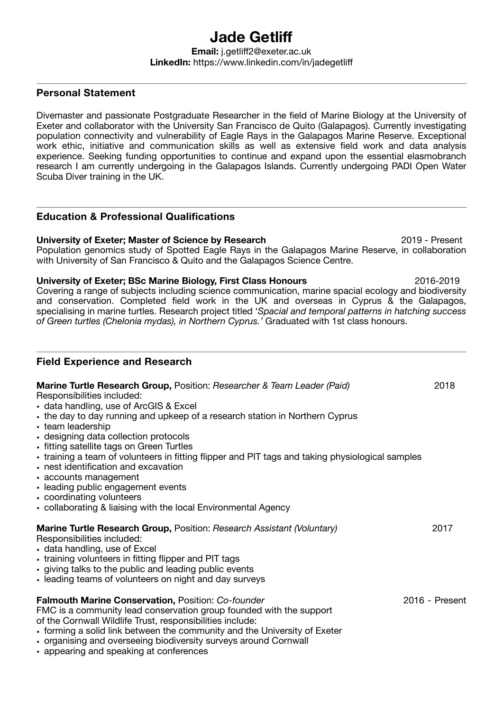# **Jade Getliff Email:** j.getliff2@exeter.ac.uk

## **LinkedIn:** https://www.linkedin.com/in/jadegetliff

### **Personal Statement**

Divemaster and passionate Postgraduate Researcher in the field of Marine Biology at the University of Exeter and collaborator with the University San Francisco de Quito (Galapagos). Currently investigating population connectivity and vulnerability of Eagle Rays in the Galapagos Marine Reserve. Exceptional work ethic, initiative and communication skills as well as extensive field work and data analysis experience. Seeking funding opportunities to continue and expand upon the essential elasmobranch research I am currently undergoing in the Galapagos Islands. Currently undergoing PADI Open Water Scuba Diver training in the UK.

### **Education & Professional Qualifications**

**University of Exeter; Master of Science by Research** 2019 - Present Population genomics study of Spotted Eagle Rays in the Galapagos Marine Reserve, in collaboration with University of San Francisco & Quito and the Galapagos Science Centre.

**University of Exeter; BSc Marine Biology, First Class Honours** 2016-2019 Covering a range of subjects including science communication, marine spacial ecology and biodiversity and conservation. Completed field work in the UK and overseas in Cyprus & the Galapagos, specialising in marine turtles. Research project titled '*Spacial and temporal patterns in hatching success of Green turtles (Chelonia mydas), in Northern Cyprus.'* Graduated with 1st class honours.

#### **Field Experience and Research**

| Marine Turtle Research Group, Position: Researcher & Team Leader (Paid)<br>Responsibilities included:<br>• data handling, use of ArcGIS & Excel<br>• the day to day running and upkeep of a research station in Northern Cyprus<br>• team leadership<br>• designing data collection protocols<br>• fitting satellite tags on Green Turtles<br>• training a team of volunteers in fitting flipper and PIT tags and taking physiological samples<br>• nest identification and excavation<br>• accounts management<br>• leading public engagement events<br>• coordinating volunteers<br>• collaborating & liaising with the local Environmental Agency | 2018             |
|------------------------------------------------------------------------------------------------------------------------------------------------------------------------------------------------------------------------------------------------------------------------------------------------------------------------------------------------------------------------------------------------------------------------------------------------------------------------------------------------------------------------------------------------------------------------------------------------------------------------------------------------------|------------------|
| Marine Turtle Research Group, Position: Research Assistant (Voluntary)<br>Responsibilities included:<br>• data handling, use of Excel<br>• training volunteers in fitting flipper and PIT tags<br>• giving talks to the public and leading public events<br>• leading teams of volunteers on night and day surveys                                                                                                                                                                                                                                                                                                                                   | 2017             |
| <b>Falmouth Marine Conservation, Position: Co-founder</b><br>FMC is a community lead conservation group founded with the support<br>of the Cornwall Wildlife Trust, responsibilities include:<br>• forming a solid link between the community and the University of Exeter<br>• organising and overseeing biodiversity surveys around Cornwall<br>• appearing and speaking at conferences                                                                                                                                                                                                                                                            | $2016$ - Present |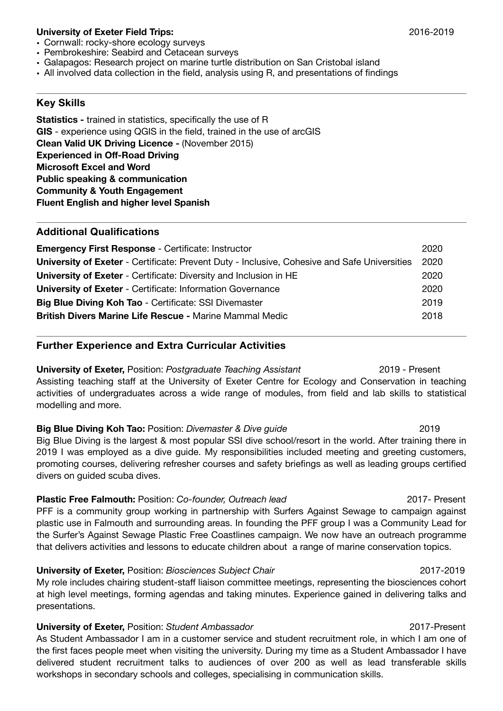#### **University of Exeter Field Trips:** 2016-2019

- Cornwall: rocky-shore ecology surveys
- Pembrokeshire: Seabird and Cetacean surveys
- Galapagos: Research project on marine turtle distribution on San Cristobal island
- All involved data collection in the field, analysis using R, and presentations of findings

#### **Key Skills**

**Statistics -** trained in statistics, specifically the use of R **GIS** - experience using QGIS in the field, trained in the use of arcGIS **Clean Valid UK Driving Licence -** (November 2015) **Experienced in Off-Road Driving Microsoft Excel and Word Public speaking & communication Community & Youth Engagement Fluent English and higher level Spanish** 

#### **Additional Qualifications**

| <b>Emergency First Response - Certificate: Instructor</b>                                           | 2020 |
|-----------------------------------------------------------------------------------------------------|------|
| <b>University of Exeter</b> - Certificate: Prevent Duty - Inclusive, Cohesive and Safe Universities | 2020 |
| <b>University of Exeter</b> - Certificate: Diversity and Inclusion in HE                            | 2020 |
| <b>University of Exeter - Certificate: Information Governance</b>                                   | 2020 |
| Big Blue Diving Koh Tao - Certificate: SSI Divemaster                                               | 2019 |
| <b>British Divers Marine Life Rescue - Marine Mammal Medic</b>                                      | 2018 |

#### **Further Experience and Extra Curricular Activities**

**University of Exeter,** Position: *Postgraduate Teaching Assistant* 2019 - Present Assisting teaching staff at the University of Exeter Centre for Ecology and Conservation in teaching activities of undergraduates across a wide range of modules, from field and lab skills to statistical modelling and more.

**Big Blue Diving Koh Tao:** Position: *Divemaster & Dive guide COLO <b><i>COLO 2019* Big Blue Diving is the largest & most popular SSI dive school/resort in the world. After training there in 2019 I was employed as a dive guide. My responsibilities included meeting and greeting customers, promoting courses, delivering refresher courses and safety briefings as well as leading groups certified divers on guided scuba dives.

**Plastic Free Falmouth:** Position: *Co-founder, Outreach lead* 2017- Present PFF is a community group working in partnership with Surfers Against Sewage to campaign against plastic use in Falmouth and surrounding areas. In founding the PFF group I was a Community Lead for the Surfer's Against Sewage Plastic Free Coastlines campaign. We now have an outreach programme that delivers activities and lessons to educate children about a range of marine conservation topics.

#### **University of Exeter,** Position: *Biosciences Subject Chair* **2017-2019** 2017-2019

My role includes chairing student-staff liaison committee meetings, representing the biosciences cohort at high level meetings, forming agendas and taking minutes. Experience gained in delivering talks and presentations.

#### **University of Exeter, Position: Student Ambassador 2017-Present**

As Student Ambassador I am in a customer service and student recruitment role, in which I am one of the first faces people meet when visiting the university. During my time as a Student Ambassador I have delivered student recruitment talks to audiences of over 200 as well as lead transferable skills workshops in secondary schools and colleges, specialising in communication skills.